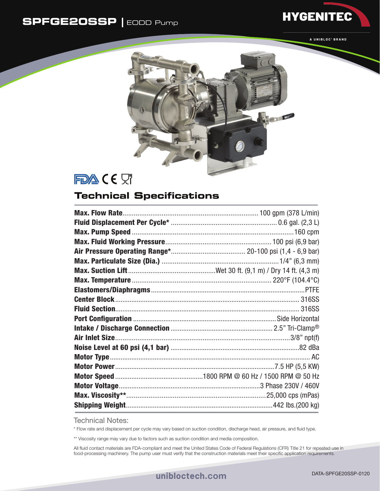## **SPFGE20SSP |** EODD Pump



**HYGENITEC** 



FDA CE ST

## **Technical Specifications**

Technical Notes:

\* Flow rate and displacement per cycle may vary based on suction condition, discharge head, air pressure, and fluid type.

\*\* Viscosity range may vary due to factors such as suction condition and media composition.

All fluid contact materials are FDA-compliant and meet the United States Code of Federal Regulations (CFR) Title 21 for repeated use in food-processing machinery. The pump user must verify that the construction materials meet their specific application requirements.